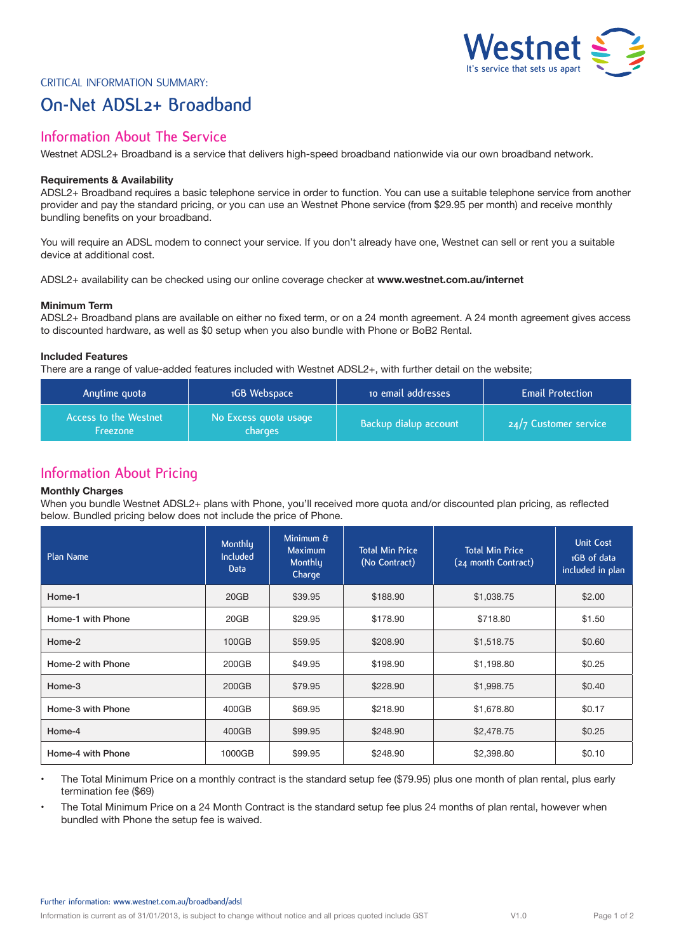

Critical Information Summary:

# **On-Net ADSL2+ Broadband**

# **Information About The Service**

Westnet ADSL2+ Broadband is a service that delivers high-speed broadband nationwide via our own broadband network.

# **Requirements & Availability**

ADSL2+ Broadband requires a basic telephone service in order to function. You can use a suitable telephone service from another provider and pay the standard pricing, or you can use an Westnet Phone service (from \$29.95 per month) and receive monthly bundling benefits on your broadband.

You will require an ADSL modem to connect your service. If you don't already have one, Westnet can sell or rent you a suitable device at additional cost.

ADSL2+ availability can be checked using our online coverage checker at **www.westnet.com.au/internet**

## **Minimum Term**

ADSL2+ Broadband plans are available on either no fixed term, or on a 24 month agreement. A 24 month agreement gives access to discounted hardware, as well as \$0 setup when you also bundle with Phone or BoB2 Rental.

# **Included Features**

There are a range of value-added features included with Westnet ADSL2+, with further detail on the website;

| Anytime quota                     | 1GB Webspace                     | to email addresses    | <b>Email Protection</b> |
|-----------------------------------|----------------------------------|-----------------------|-------------------------|
| Access to the Westnet<br>Freezone | No Excess quota usage<br>charges | Backup dialup account | $24/7$ Customer service |

# **Information About Pricing**

## **Monthly Charges**

When you bundle Westnet ADSL2+ plans with Phone, you'll received more quota and/or discounted plan pricing, as reflected below. Bundled pricing below does not include the price of Phone.

| Plan Name         | Monthlu<br>Included<br><b>Data</b> | Minimum &<br>Maximum<br>Monthly<br>Charge | <b>Total Min Price</b><br>(No Contract) | <b>Total Min Price</b><br>(24 month Contract) | <b>Unit Cost</b><br>1GB of data<br>included in plan |
|-------------------|------------------------------------|-------------------------------------------|-----------------------------------------|-----------------------------------------------|-----------------------------------------------------|
| Home-1            | 20GB                               | \$39.95                                   | \$188.90                                | \$1,038.75                                    | \$2.00                                              |
| Home-1 with Phone | 20GB                               | \$29.95                                   | \$178.90                                | \$718.80                                      | \$1.50                                              |
| Home-2            | 100GB                              | \$59.95                                   | \$208.90                                | \$1,518.75                                    | \$0.60                                              |
| Home-2 with Phone | 200GB                              | \$49.95                                   | \$198.90                                | \$1,198.80                                    | \$0.25                                              |
| Home-3            | 200GB                              | \$79.95                                   | \$228.90                                | \$1,998.75                                    | \$0.40                                              |
| Home-3 with Phone | 400GB                              | \$69.95                                   | \$218.90                                | \$1,678.80                                    | \$0.17                                              |
| Home-4            | 400GB                              | \$99.95                                   | \$248.90                                | \$2,478.75                                    | \$0.25                                              |
| Home-4 with Phone | 1000GB                             | \$99.95                                   | \$248.90                                | \$2,398.80                                    | \$0.10                                              |

- The Total Minimum Price on a monthly contract is the standard setup fee (\$79.95) plus one month of plan rental, plus early termination fee (\$69)
- The Total Minimum Price on a 24 Month Contract is the standard setup fee plus 24 months of plan rental, however when bundled with Phone the setup fee is waived.